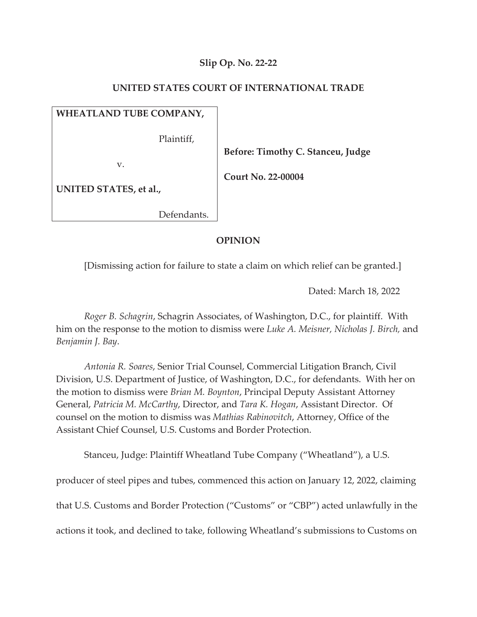# **Slip Op. No. 22-22**

# **UNITED STATES COURT OF INTERNATIONAL TRADE**

# **WHEATLAND TUBE COMPANY,**

Plaintiff,

v.

 **Before: Timothy C. Stanceu, Judge** 

 **Court No. 22-00004** 

**UNITED STATES, et al.,**

Defendants.

# **OPINION**

[Dismissing action for failure to state a claim on which relief can be granted.]

Dated: March 18, 2022

*Roger B. Schagrin*, Schagrin Associates, of Washington, D.C., for plaintiff. With him on the response to the motion to dismiss were *Luke A. Meisner, Nicholas J. Birch,* and *Benjamin J. Bay*.

*Antonia R. Soares*, Senior Trial Counsel, Commercial Litigation Branch, Civil Division, U.S. Department of Justice, of Washington, D.C., for defendants. With her on the motion to dismiss were *Brian M. Boynton*, Principal Deputy Assistant Attorney General, *Patricia M. McCarthy*, Director, and *Tara K. Hogan*, Assistant Director. Of counsel on the motion to dismiss was *Mathias Rabinovitch*, Attorney, Office of the Assistant Chief Counsel, U.S. Customs and Border Protection.

Stanceu, Judge: Plaintiff Wheatland Tube Company ("Wheatland"), a U.S.

producer of steel pipes and tubes, commenced this action on January 12, 2022, claiming

that U.S. Customs and Border Protection ("Customs" or "CBP") acted unlawfully in the

actions it took, and declined to take, following Wheatland's submissions to Customs on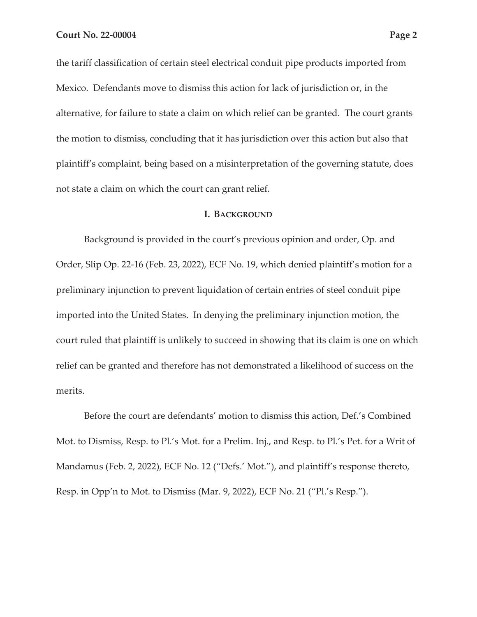the tariff classification of certain steel electrical conduit pipe products imported from Mexico. Defendants move to dismiss this action for lack of jurisdiction or, in the alternative, for failure to state a claim on which relief can be granted. The court grants the motion to dismiss, concluding that it has jurisdiction over this action but also that plaintiff's complaint, being based on a misinterpretation of the governing statute, does not state a claim on which the court can grant relief.

#### **I. BACKGROUND**

Background is provided in the court's previous opinion and order, Op. and Order, Slip Op. 22-16 (Feb. 23, 2022), ECF No. 19, which denied plaintiff's motion for a preliminary injunction to prevent liquidation of certain entries of steel conduit pipe imported into the United States. In denying the preliminary injunction motion, the court ruled that plaintiff is unlikely to succeed in showing that its claim is one on which relief can be granted and therefore has not demonstrated a likelihood of success on the merits.

Before the court are defendants' motion to dismiss this action, Def.'s Combined Mot. to Dismiss, Resp. to Pl.'s Mot. for a Prelim. Inj., and Resp. to Pl.'s Pet. for a Writ of Mandamus (Feb. 2, 2022), ECF No. 12 ("Defs.' Mot."), and plaintiff's response thereto, Resp. in Opp'n to Mot. to Dismiss (Mar. 9, 2022), ECF No. 21 ("Pl.'s Resp.").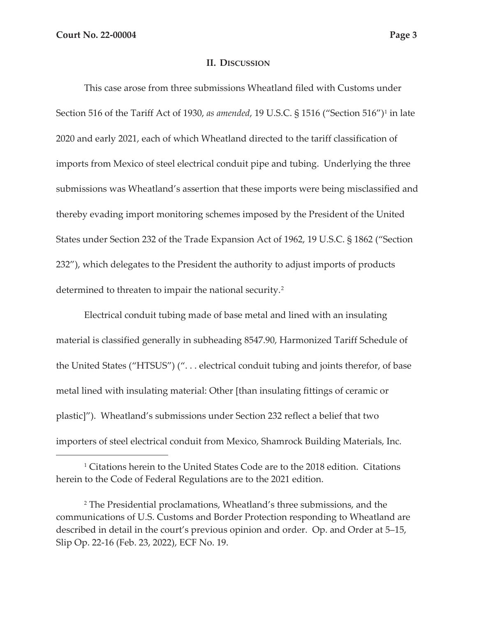### **II. DISCUSSION**

This case arose from three submissions Wheatland filed with Customs under Section 516 of the Tariff Act of 1930, *as amended*, 19 U.S.C. § 1516 ("Section 516")1 in late 2020 and early 2021, each of which Wheatland directed to the tariff classification of imports from Mexico of steel electrical conduit pipe and tubing. Underlying the three submissions was Wheatland's assertion that these imports were being misclassified and thereby evading import monitoring schemes imposed by the President of the United States under Section 232 of the Trade Expansion Act of 1962, 19 U.S.C. § 1862 ("Section 232"), which delegates to the President the authority to adjust imports of products determined to threaten to impair the national security.<sup>2</sup>

Electrical conduit tubing made of base metal and lined with an insulating material is classified generally in subheading 8547.90, Harmonized Tariff Schedule of the United States ("HTSUS") (". . . electrical conduit tubing and joints therefor, of base metal lined with insulating material: Other [than insulating fittings of ceramic or plastic]"). Wheatland's submissions under Section 232 reflect a belief that two importers of steel electrical conduit from Mexico, Shamrock Building Materials, Inc.

<sup>1</sup> Citations herein to the United States Code are to the 2018 edition. Citations herein to the Code of Federal Regulations are to the 2021 edition.

<sup>2</sup> The Presidential proclamations, Wheatland's three submissions, and the communications of U.S. Customs and Border Protection responding to Wheatland are described in detail in the court's previous opinion and order. Op. and Order at 5–15, Slip Op. 22-16 (Feb. 23, 2022), ECF No. 19.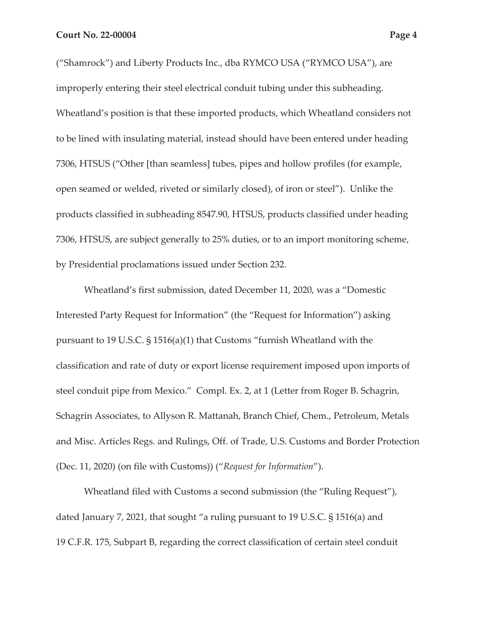("Shamrock") and Liberty Products Inc., dba RYMCO USA ("RYMCO USA"), are improperly entering their steel electrical conduit tubing under this subheading. Wheatland's position is that these imported products, which Wheatland considers not to be lined with insulating material, instead should have been entered under heading 7306, HTSUS ("Other [than seamless] tubes, pipes and hollow profiles (for example, open seamed or welded, riveted or similarly closed), of iron or steel"). Unlike the products classified in subheading 8547.90, HTSUS, products classified under heading 7306, HTSUS, are subject generally to 25% duties, or to an import monitoring scheme, by Presidential proclamations issued under Section 232.

Wheatland's first submission, dated December 11, 2020, was a "Domestic Interested Party Request for Information" (the "Request for Information") asking pursuant to 19 U.S.C. § 1516(a)(1) that Customs "furnish Wheatland with the classification and rate of duty or export license requirement imposed upon imports of steel conduit pipe from Mexico." Compl. Ex. 2, at 1 (Letter from Roger B. Schagrin, Schagrin Associates, to Allyson R. Mattanah, Branch Chief, Chem., Petroleum, Metals and Misc. Articles Regs. and Rulings, Off. of Trade, U.S. Customs and Border Protection (Dec. 11, 2020) (on file with Customs)) ("*Request for Information*").

Wheatland filed with Customs a second submission (the "Ruling Request"), dated January 7, 2021, that sought "a ruling pursuant to 19 U.S.C. § 1516(a) and 19 C.F.R. 175, Subpart B, regarding the correct classification of certain steel conduit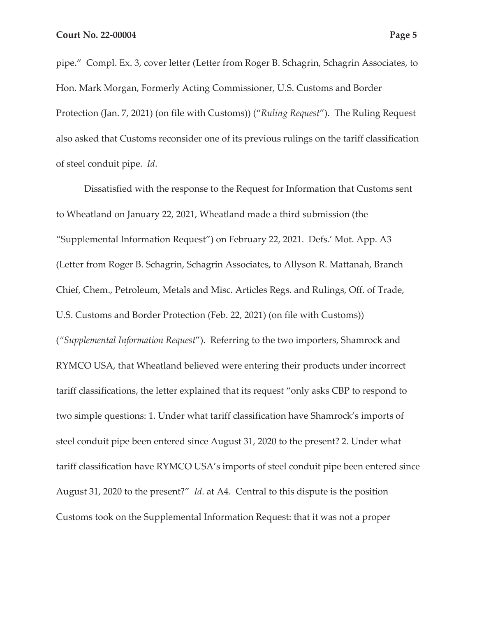pipe." Compl. Ex. 3, cover letter (Letter from Roger B. Schagrin, Schagrin Associates, to Hon. Mark Morgan, Formerly Acting Commissioner, U.S. Customs and Border Protection (Jan. 7, 2021) (on file with Customs)) ("*Ruling Request*"). The Ruling Request also asked that Customs reconsider one of its previous rulings on the tariff classification of steel conduit pipe. *Id*.

Dissatisfied with the response to the Request for Information that Customs sent to Wheatland on January 22, 2021, Wheatland made a third submission (the "Supplemental Information Request") on February 22, 2021. Defs.' Mot. App. A3 (Letter from Roger B. Schagrin, Schagrin Associates, to Allyson R. Mattanah, Branch Chief, Chem., Petroleum, Metals and Misc. Articles Regs. and Rulings, Off. of Trade, U.S. Customs and Border Protection (Feb. 22, 2021) (on file with Customs)) (*"Supplemental Information Request*"). Referring to the two importers, Shamrock and RYMCO USA, that Wheatland believed were entering their products under incorrect tariff classifications, the letter explained that its request "only asks CBP to respond to two simple questions: 1. Under what tariff classification have Shamrock's imports of steel conduit pipe been entered since August 31, 2020 to the present? 2. Under what tariff classification have RYMCO USA's imports of steel conduit pipe been entered since August 31, 2020 to the present?" *Id*. at A4. Central to this dispute is the position Customs took on the Supplemental Information Request: that it was not a proper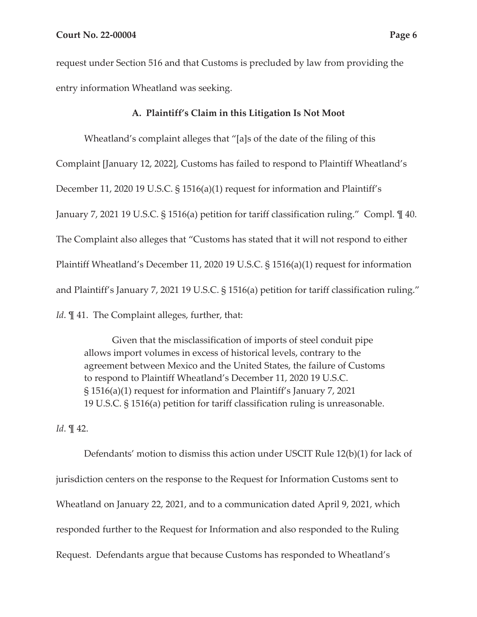request under Section 516 and that Customs is precluded by law from providing the entry information Wheatland was seeking.

### **A. Plaintiff's Claim in this Litigation Is Not Moot**

Wheatland's complaint alleges that "[a]s of the date of the filing of this Complaint [January 12, 2022], Customs has failed to respond to Plaintiff Wheatland's December 11, 2020 19 U.S.C. § 1516(a)(1) request for information and Plaintiff's January 7, 2021 19 U.S.C. § 1516(a) petition for tariff classification ruling." Compl. ¶ 40. The Complaint also alleges that "Customs has stated that it will not respond to either Plaintiff Wheatland's December 11, 2020 19 U.S.C. § 1516(a)(1) request for information and Plaintiff's January 7, 2021 19 U.S.C. § 1516(a) petition for tariff classification ruling." *Id*. **[41.** The Complaint alleges, further, that:

Given that the misclassification of imports of steel conduit pipe allows import volumes in excess of historical levels, contrary to the agreement between Mexico and the United States, the failure of Customs to respond to Plaintiff Wheatland's December 11, 2020 19 U.S.C. § 1516(a)(1) request for information and Plaintiff's January 7, 2021 19 U.S.C. § 1516(a) petition for tariff classification ruling is unreasonable.

*Id*. ¶ 42.

Defendants' motion to dismiss this action under USCIT Rule 12(b)(1) for lack of jurisdiction centers on the response to the Request for Information Customs sent to Wheatland on January 22, 2021, and to a communication dated April 9, 2021, which responded further to the Request for Information and also responded to the Ruling Request. Defendants argue that because Customs has responded to Wheatland's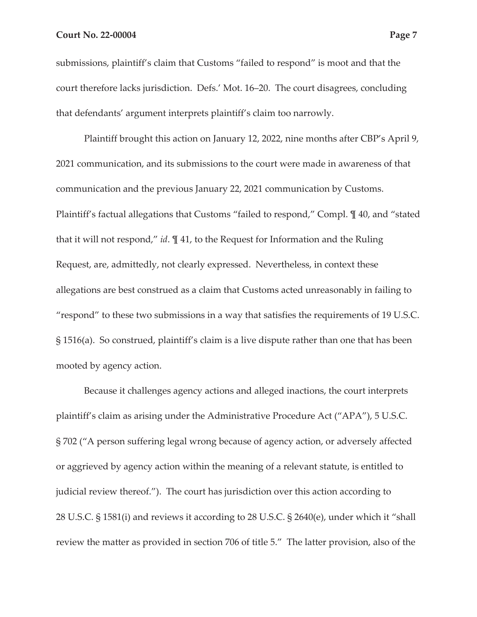submissions, plaintiff's claim that Customs "failed to respond" is moot and that the court therefore lacks jurisdiction. Defs.' Mot. 16–20. The court disagrees, concluding that defendants' argument interprets plaintiff's claim too narrowly.

Plaintiff brought this action on January 12, 2022, nine months after CBP's April 9, 2021 communication, and its submissions to the court were made in awareness of that communication and the previous January 22, 2021 communication by Customs. Plaintiff's factual allegations that Customs "failed to respond," Compl. ¶ 40, and "stated that it will not respond," *id*. ¶ 41, to the Request for Information and the Ruling Request, are, admittedly, not clearly expressed. Nevertheless, in context these allegations are best construed as a claim that Customs acted unreasonably in failing to "respond" to these two submissions in a way that satisfies the requirements of 19 U.S.C. § 1516(a). So construed, plaintiff's claim is a live dispute rather than one that has been mooted by agency action.

Because it challenges agency actions and alleged inactions, the court interprets plaintiff's claim as arising under the Administrative Procedure Act ("APA"), 5 U.S.C. § 702 ("A person suffering legal wrong because of agency action, or adversely affected or aggrieved by agency action within the meaning of a relevant statute, is entitled to judicial review thereof."). The court has jurisdiction over this action according to 28 U.S.C. § 1581(i) and reviews it according to 28 U.S.C. § 2640(e), under which it "shall review the matter as provided in section 706 of title 5." The latter provision, also of the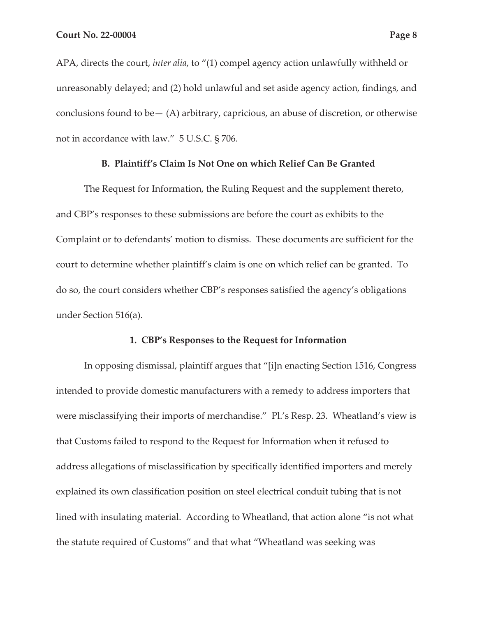APA, directs the court, *inter alia*, to "(1) compel agency action unlawfully withheld or unreasonably delayed; and (2) hold unlawful and set aside agency action, findings, and conclusions found to be  $-$  (A) arbitrary, capricious, an abuse of discretion, or otherwise not in accordance with law." 5 U.S.C. § 706.

### **B. Plaintiff's Claim Is Not One on which Relief Can Be Granted**

The Request for Information, the Ruling Request and the supplement thereto, and CBP's responses to these submissions are before the court as exhibits to the Complaint or to defendants' motion to dismiss. These documents are sufficient for the court to determine whether plaintiff's claim is one on which relief can be granted. To do so, the court considers whether CBP's responses satisfied the agency's obligations under Section 516(a).

#### **1. CBP's Responses to the Request for Information**

In opposing dismissal, plaintiff argues that "[i]n enacting Section 1516, Congress intended to provide domestic manufacturers with a remedy to address importers that were misclassifying their imports of merchandise." Pl.'s Resp. 23. Wheatland's view is that Customs failed to respond to the Request for Information when it refused to address allegations of misclassification by specifically identified importers and merely explained its own classification position on steel electrical conduit tubing that is not lined with insulating material. According to Wheatland, that action alone "is not what the statute required of Customs" and that what "Wheatland was seeking was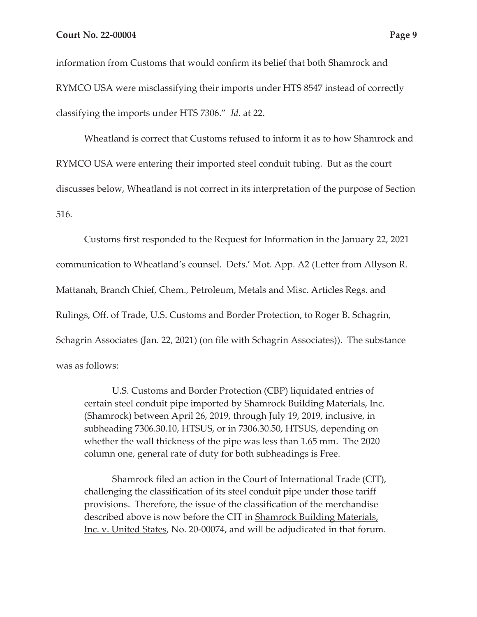information from Customs that would confirm its belief that both Shamrock and RYMCO USA were misclassifying their imports under HTS 8547 instead of correctly classifying the imports under HTS 7306." *Id.* at 22.

Wheatland is correct that Customs refused to inform it as to how Shamrock and RYMCO USA were entering their imported steel conduit tubing. But as the court discusses below, Wheatland is not correct in its interpretation of the purpose of Section 516.

Customs first responded to the Request for Information in the January 22, 2021 communication to Wheatland's counsel. Defs.' Mot. App. A2 (Letter from Allyson R. Mattanah, Branch Chief, Chem., Petroleum, Metals and Misc. Articles Regs. and Rulings, Off. of Trade, U.S. Customs and Border Protection, to Roger B. Schagrin, Schagrin Associates (Jan. 22, 2021) (on file with Schagrin Associates)). The substance was as follows:

U.S. Customs and Border Protection (CBP) liquidated entries of certain steel conduit pipe imported by Shamrock Building Materials, Inc. (Shamrock) between April 26, 2019, through July 19, 2019, inclusive, in subheading 7306.30.10, HTSUS, or in 7306.30.50, HTSUS, depending on whether the wall thickness of the pipe was less than 1.65 mm. The 2020 column one, general rate of duty for both subheadings is Free.

Shamrock filed an action in the Court of International Trade (CIT), challenging the classification of its steel conduit pipe under those tariff provisions. Therefore, the issue of the classification of the merchandise described above is now before the CIT in Shamrock Building Materials, Inc. v. United States, No. 20-00074, and will be adjudicated in that forum.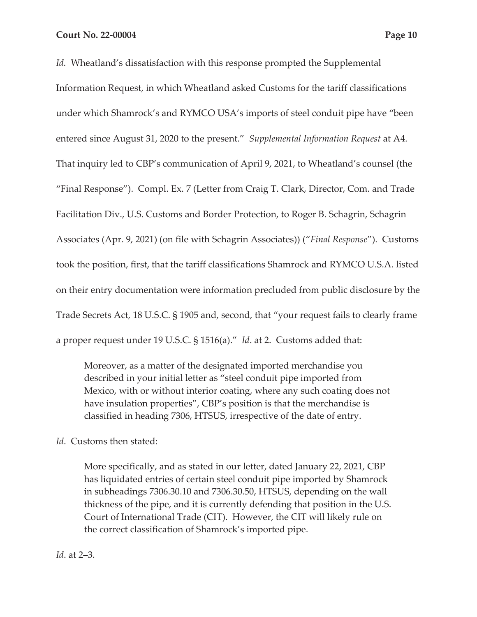*Id.* Wheatland's dissatisfaction with this response prompted the Supplemental Information Request, in which Wheatland asked Customs for the tariff classifications under which Shamrock's and RYMCO USA's imports of steel conduit pipe have "been entered since August 31, 2020 to the present." *Supplemental Information Request* at A4. That inquiry led to CBP's communication of April 9, 2021, to Wheatland's counsel (the "Final Response"). Compl. Ex. 7 (Letter from Craig T. Clark, Director, Com. and Trade Facilitation Div., U.S. Customs and Border Protection, to Roger B. Schagrin, Schagrin Associates (Apr. 9, 2021) (on file with Schagrin Associates)) ("*Final Response*"). Customs took the position, first, that the tariff classifications Shamrock and RYMCO U.S.A. listed on their entry documentation were information precluded from public disclosure by the Trade Secrets Act, 18 U.S.C. § 1905 and, second, that "your request fails to clearly frame a proper request under 19 U.S.C. § 1516(a)." *Id*. at 2. Customs added that:

Moreover, as a matter of the designated imported merchandise you described in your initial letter as "steel conduit pipe imported from Mexico, with or without interior coating, where any such coating does not have insulation properties", CBP's position is that the merchandise is classified in heading 7306, HTSUS, irrespective of the date of entry.

# *Id*. Customs then stated:

More specifically, and as stated in our letter, dated January 22, 2021, CBP has liquidated entries of certain steel conduit pipe imported by Shamrock in subheadings 7306.30.10 and 7306.30.50, HTSUS, depending on the wall thickness of the pipe, and it is currently defending that position in the U.S. Court of International Trade (CIT). However, the CIT will likely rule on the correct classification of Shamrock's imported pipe.

*Id*. at 2–3.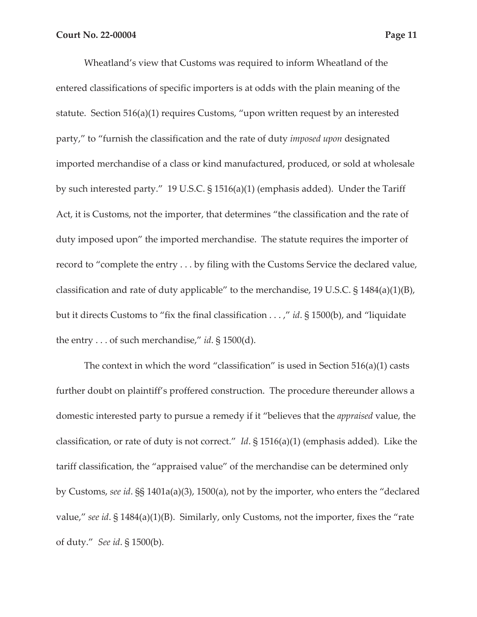Wheatland's view that Customs was required to inform Wheatland of the entered classifications of specific importers is at odds with the plain meaning of the statute. Section 516(a)(1) requires Customs, "upon written request by an interested party," to "furnish the classification and the rate of duty *imposed upon* designated imported merchandise of a class or kind manufactured, produced, or sold at wholesale by such interested party." 19 U.S.C. § 1516(a)(1) (emphasis added). Under the Tariff Act, it is Customs, not the importer, that determines "the classification and the rate of duty imposed upon" the imported merchandise. The statute requires the importer of record to "complete the entry . . . by filing with the Customs Service the declared value, classification and rate of duty applicable" to the merchandise, 19 U.S.C. § 1484(a)(1)(B), but it directs Customs to "fix the final classification . . . ," *id*. § 1500(b), and "liquidate the entry . . . of such merchandise," *id*. § 1500(d).

The context in which the word "classification" is used in Section  $516(a)(1)$  casts further doubt on plaintiff's proffered construction. The procedure thereunder allows a domestic interested party to pursue a remedy if it "believes that the *appraised* value, the classification, or rate of duty is not correct." *Id*. § 1516(a)(1) (emphasis added). Like the tariff classification, the "appraised value" of the merchandise can be determined only by Customs, *see id*. §§ 1401a(a)(3), 1500(a), not by the importer, who enters the "declared value," *see id*. § 1484(a)(1)(B). Similarly, only Customs, not the importer, fixes the "rate of duty." *See id*. § 1500(b).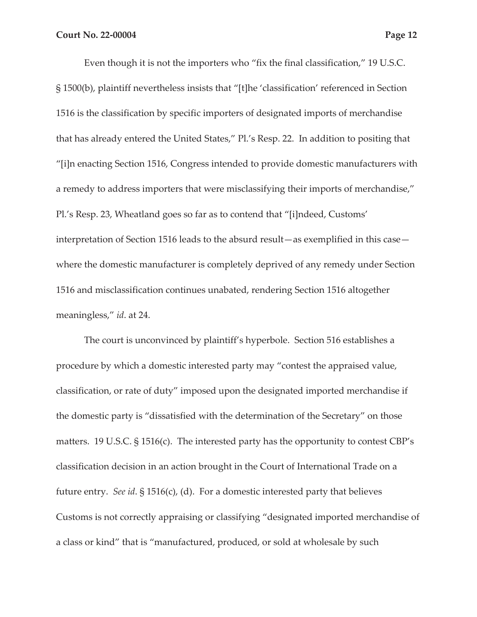Even though it is not the importers who "fix the final classification," 19 U.S.C. § 1500(b), plaintiff nevertheless insists that "[t]he 'classification' referenced in Section 1516 is the classification by specific importers of designated imports of merchandise that has already entered the United States," Pl.'s Resp. 22. In addition to positing that "[i]n enacting Section 1516, Congress intended to provide domestic manufacturers with a remedy to address importers that were misclassifying their imports of merchandise," Pl.'s Resp. 23, Wheatland goes so far as to contend that "[i]ndeed, Customs' interpretation of Section 1516 leads to the absurd result—as exemplified in this case where the domestic manufacturer is completely deprived of any remedy under Section 1516 and misclassification continues unabated, rendering Section 1516 altogether meaningless," *id*. at 24.

The court is unconvinced by plaintiff's hyperbole. Section 516 establishes a procedure by which a domestic interested party may "contest the appraised value, classification, or rate of duty" imposed upon the designated imported merchandise if the domestic party is "dissatisfied with the determination of the Secretary" on those matters. 19 U.S.C. § 1516(c). The interested party has the opportunity to contest CBP's classification decision in an action brought in the Court of International Trade on a future entry. *See id*. § 1516(c), (d). For a domestic interested party that believes Customs is not correctly appraising or classifying "designated imported merchandise of a class or kind" that is "manufactured, produced, or sold at wholesale by such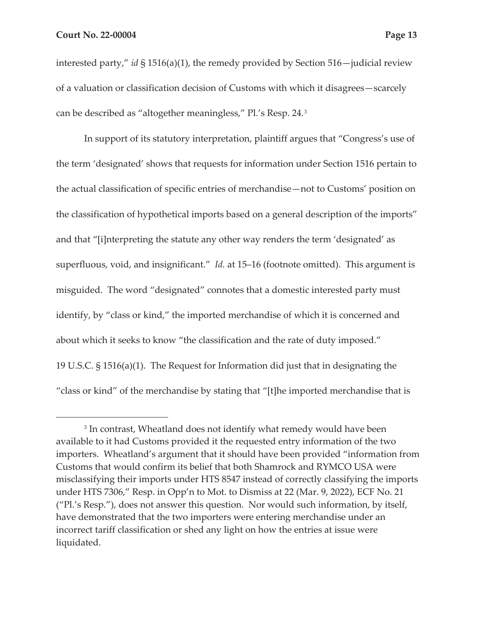interested party," *id* § 1516(a)(1), the remedy provided by Section 516—judicial review of a valuation or classification decision of Customs with which it disagrees—scarcely can be described as "altogether meaningless," Pl.'s Resp. 24.3

In support of its statutory interpretation, plaintiff argues that "Congress's use of the term 'designated' shows that requests for information under Section 1516 pertain to the actual classification of specific entries of merchandise—not to Customs' position on the classification of hypothetical imports based on a general description of the imports" and that "[i]nterpreting the statute any other way renders the term 'designated' as superfluous, void, and insignificant." *Id.* at 15–16 (footnote omitted). This argument is misguided. The word "designated" connotes that a domestic interested party must identify, by "class or kind," the imported merchandise of which it is concerned and about which it seeks to know "the classification and the rate of duty imposed." 19 U.S.C. § 1516(a)(1). The Request for Information did just that in designating the "class or kind" of the merchandise by stating that "[t]he imported merchandise that is

<sup>&</sup>lt;sup>3</sup> In contrast, Wheatland does not identify what remedy would have been available to it had Customs provided it the requested entry information of the two importers. Wheatland's argument that it should have been provided "information from Customs that would confirm its belief that both Shamrock and RYMCO USA were misclassifying their imports under HTS 8547 instead of correctly classifying the imports under HTS 7306," Resp. in Opp'n to Mot. to Dismiss at 22 (Mar. 9, 2022), ECF No. 21 ("Pl.'s Resp."), does not answer this question. Nor would such information, by itself, have demonstrated that the two importers were entering merchandise under an incorrect tariff classification or shed any light on how the entries at issue were liquidated.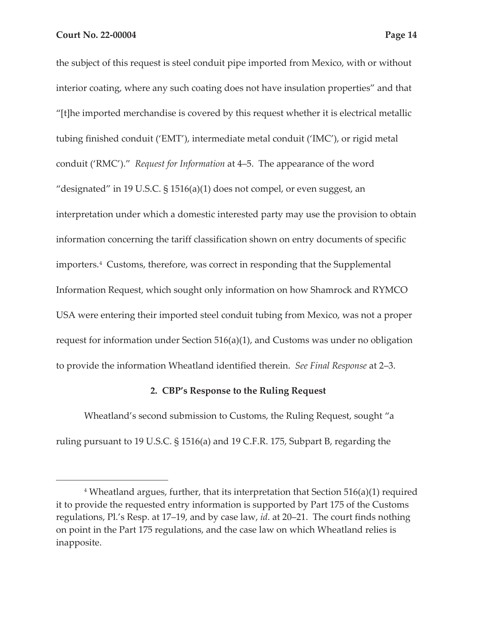the subject of this request is steel conduit pipe imported from Mexico, with or without interior coating, where any such coating does not have insulation properties" and that "[t]he imported merchandise is covered by this request whether it is electrical metallic tubing finished conduit ('EMT'), intermediate metal conduit ('IMC'), or rigid metal conduit ('RMC')." *Request for Information* at 4–5. The appearance of the word "designated" in 19 U.S.C. § 1516(a)(1) does not compel, or even suggest, an interpretation under which a domestic interested party may use the provision to obtain information concerning the tariff classification shown on entry documents of specific importers.4 Customs, therefore, was correct in responding that the Supplemental Information Request, which sought only information on how Shamrock and RYMCO USA were entering their imported steel conduit tubing from Mexico, was not a proper request for information under Section 516(a)(1), and Customs was under no obligation to provide the information Wheatland identified therein. *See Final Response* at 2–3.

### **2. CBP's Response to the Ruling Request**

Wheatland's second submission to Customs, the Ruling Request, sought "a ruling pursuant to 19 U.S.C. § 1516(a) and 19 C.F.R. 175, Subpart B, regarding the

<sup>4</sup> Wheatland argues, further, that its interpretation that Section 516(a)(1) required it to provide the requested entry information is supported by Part 175 of the Customs regulations, Pl.'s Resp. at 17–19, and by case law, *id*. at 20–21. The court finds nothing on point in the Part 175 regulations, and the case law on which Wheatland relies is inapposite.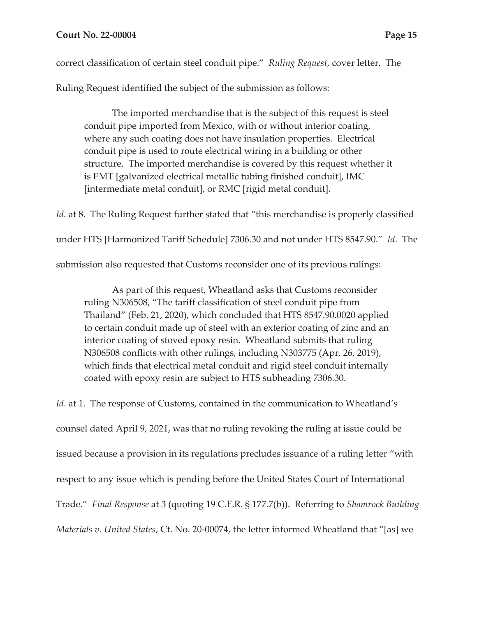correct classification of certain steel conduit pipe." *Ruling Request*, cover letter. The

Ruling Request identified the subject of the submission as follows:

The imported merchandise that is the subject of this request is steel conduit pipe imported from Mexico, with or without interior coating, where any such coating does not have insulation properties. Electrical conduit pipe is used to route electrical wiring in a building or other structure. The imported merchandise is covered by this request whether it is EMT [galvanized electrical metallic tubing finished conduit], IMC [intermediate metal conduit], or RMC [rigid metal conduit].

*Id.* at 8. The Ruling Request further stated that "this merchandise is properly classified under HTS [Harmonized Tariff Schedule] 7306.30 and not under HTS 8547.90." *Id*. The submission also requested that Customs reconsider one of its previous rulings:

As part of this request, Wheatland asks that Customs reconsider ruling N306508, "The tariff classification of steel conduit pipe from Thailand" (Feb. 21, 2020), which concluded that HTS 8547.90.0020 applied to certain conduit made up of steel with an exterior coating of zinc and an interior coating of stoved epoxy resin. Wheatland submits that ruling N306508 conflicts with other rulings, including N303775 (Apr. 26, 2019), which finds that electrical metal conduit and rigid steel conduit internally coated with epoxy resin are subject to HTS subheading 7306.30.

*Id*. at 1. The response of Customs, contained in the communication to Wheatland's counsel dated April 9, 2021, was that no ruling revoking the ruling at issue could be issued because a provision in its regulations precludes issuance of a ruling letter "with respect to any issue which is pending before the United States Court of International Trade." *Final Response* at 3 (quoting 19 C.F.R. § 177.7(b)). Referring to *Shamrock Building Materials v. United States*, Ct. No. 20-00074, the letter informed Wheatland that "[as] we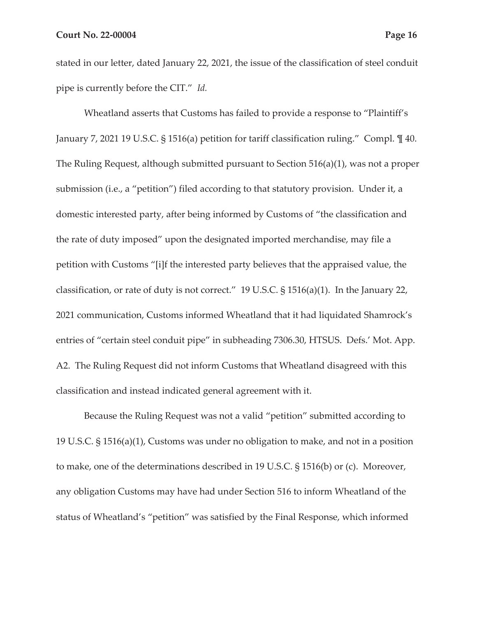stated in our letter, dated January 22, 2021, the issue of the classification of steel conduit pipe is currently before the CIT." *Id.* 

Wheatland asserts that Customs has failed to provide a response to "Plaintiff's January 7, 2021 19 U.S.C. § 1516(a) petition for tariff classification ruling." Compl. ¶ 40. The Ruling Request, although submitted pursuant to Section 516(a)(1), was not a proper submission (i.e., a "petition") filed according to that statutory provision. Under it, a domestic interested party, after being informed by Customs of "the classification and the rate of duty imposed" upon the designated imported merchandise, may file a petition with Customs "[i]f the interested party believes that the appraised value, the classification, or rate of duty is not correct." 19 U.S.C. § 1516(a)(1). In the January 22, 2021 communication, Customs informed Wheatland that it had liquidated Shamrock's entries of "certain steel conduit pipe" in subheading 7306.30, HTSUS. Defs.' Mot. App. A2. The Ruling Request did not inform Customs that Wheatland disagreed with this classification and instead indicated general agreement with it.

Because the Ruling Request was not a valid "petition" submitted according to 19 U.S.C. § 1516(a)(1), Customs was under no obligation to make, and not in a position to make, one of the determinations described in 19 U.S.C. § 1516(b) or (c). Moreover, any obligation Customs may have had under Section 516 to inform Wheatland of the status of Wheatland's "petition" was satisfied by the Final Response, which informed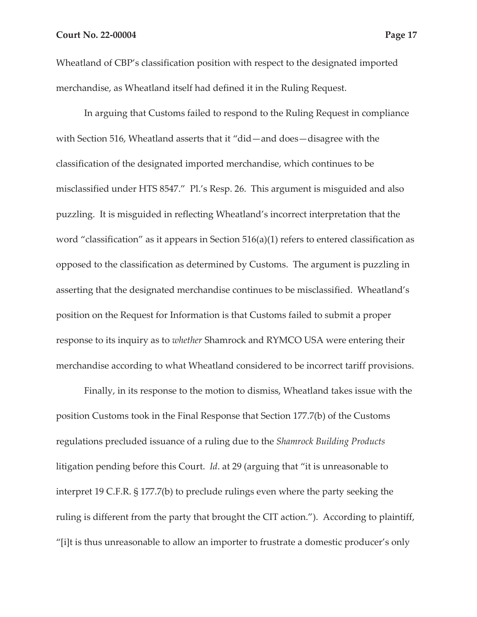Wheatland of CBP's classification position with respect to the designated imported merchandise, as Wheatland itself had defined it in the Ruling Request.

In arguing that Customs failed to respond to the Ruling Request in compliance with Section 516, Wheatland asserts that it "did—and does—disagree with the classification of the designated imported merchandise, which continues to be misclassified under HTS 8547." Pl.'s Resp. 26. This argument is misguided and also puzzling. It is misguided in reflecting Wheatland's incorrect interpretation that the word "classification" as it appears in Section 516(a)(1) refers to entered classification as opposed to the classification as determined by Customs. The argument is puzzling in asserting that the designated merchandise continues to be misclassified. Wheatland's position on the Request for Information is that Customs failed to submit a proper response to its inquiry as to *whether* Shamrock and RYMCO USA were entering their merchandise according to what Wheatland considered to be incorrect tariff provisions.

Finally, in its response to the motion to dismiss, Wheatland takes issue with the position Customs took in the Final Response that Section 177.7(b) of the Customs regulations precluded issuance of a ruling due to the *Shamrock Building Products*  litigation pending before this Court. *Id*. at 29 (arguing that "it is unreasonable to interpret 19 C.F.R. § 177.7(b) to preclude rulings even where the party seeking the ruling is different from the party that brought the CIT action."). According to plaintiff, "[i]t is thus unreasonable to allow an importer to frustrate a domestic producer's only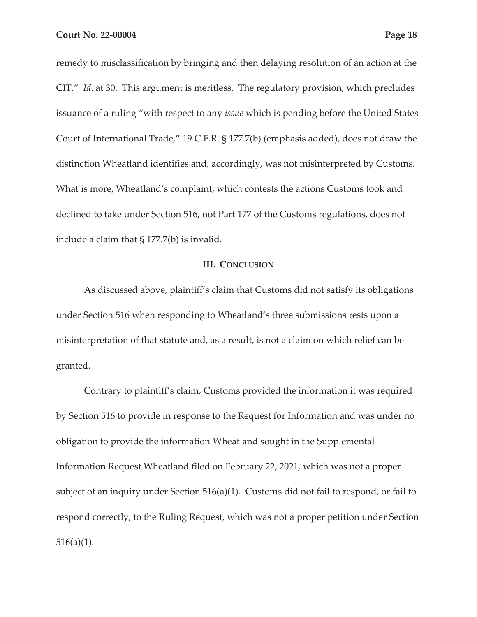remedy to misclassification by bringing and then delaying resolution of an action at the CIT." *Id*. at 30. This argument is meritless. The regulatory provision, which precludes

issuance of a ruling "with respect to any *issue* which is pending before the United States Court of International Trade," 19 C.F.R. § 177.7(b) (emphasis added), does not draw the distinction Wheatland identifies and, accordingly, was not misinterpreted by Customs. What is more, Wheatland's complaint, which contests the actions Customs took and declined to take under Section 516, not Part 177 of the Customs regulations, does not include a claim that § 177.7(b) is invalid.

### **III. CONCLUSION**

As discussed above, plaintiff's claim that Customs did not satisfy its obligations under Section 516 when responding to Wheatland's three submissions rests upon a misinterpretation of that statute and, as a result, is not a claim on which relief can be granted.

Contrary to plaintiff's claim, Customs provided the information it was required by Section 516 to provide in response to the Request for Information and was under no obligation to provide the information Wheatland sought in the Supplemental Information Request Wheatland filed on February 22, 2021, which was not a proper subject of an inquiry under Section 516(a)(1). Customs did not fail to respond, or fail to respond correctly, to the Ruling Request, which was not a proper petition under Section  $516(a)(1)$ .